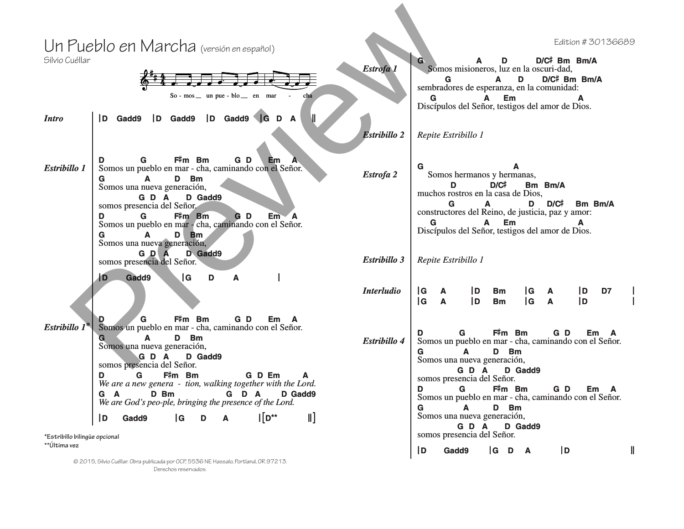## $\frac{\ell^*}{2}$ # 4  $4 \cdot \frac{1}{2} \cdot \frac{1}{2} \cdot \frac{1}{2} \cdot \frac{1}{2} \cdot \frac{1}{2} \cdot \frac{1}{2} \cdot \frac{1}{2} \cdot \frac{1}{2} \cdot \frac{1}{2} \cdot \frac{1}{2} \cdot \frac{1}{2} \cdot \frac{1}{2} \cdot \frac{1}{2} \cdot \frac{1}{2} \cdot \frac{1}{2} \cdot \frac{1}{2} \cdot \frac{1}{2} \cdot \frac{1}{2} \cdot \frac{1}{2} \cdot \frac{1}{2} \cdot \frac{1}{2} \cdot \frac{1}{2} \cdot \frac{1}{2} \cdot \frac{1}{2} \cdot \$  $So - mos$  un pue -  $blo$  en mar - cha <u>e. . .</u> Un Pueblo en Marcha (versión en español) Silvio Cuéllar *Intro* **|D Gadd9 |D Gadd9 |D Gadd9 |G D A || <sup>D</sup> <sup>G</sup> <sup>F</sup>**# **m Bm G D Em A** *Estribillo 1* Somos un pueblo en mar - cha, caminando con el Señor. **G A D Bm** Somos una nueva generación, **G D A D Gadd9** somos presencia del Señor. **<sup>D</sup> <sup>G</sup> <sup>F</sup>**# **m Bm G D Em A** Somos un pueblo en mar - cha, caminando con el Señor. **G A D Bm** Somos una nueva generación, **G D A D Gadd9** somos presencia del Señor. **|D Gadd9 |G D A | Estribillo**  $I^*$  Somos un pueblo en mar - cha, caminando con el Señor. **G A D Bm** Somos una nueva generación, **G D A D Gadd9** somos presencia del Señor. **<sup>D</sup> <sup>G</sup> <sup>F</sup>**# **m Bm G D Em A** *We are a new genera - tion, walking together with the Lord.* **G A D Bm G D A D Gadd9** *We are God's peo-ple, bringing the presence of the Lord.* **|D Gadd9 |G <sup>D</sup> <sup>A</sup> <sup>|</sup>**[**D\*\* ||**] **\*Estribillo bilingüe opcional <sup>G</sup> <sup>A</sup> <sup>D</sup> D/C**# **Bm Bm/A Estrofa 1** Somos misioneros, luz en la oscuri-dad, **<sup>G</sup> <sup>A</sup> <sup>D</sup> D/C**# **Bm Bm/A** sembradores de esperanza, en la comunidad: **G A Em A** Discípulos del Señor, testigos del amor de Dios. *Estribillo 2 Repite Estribillo 1* **G A** *Estrofa 2* | Somos hermanos y hermanas, **<sup>D</sup> D/C**# **Bm Bm/A** muchos rostros en la casa de Dios, **<sup>G</sup> <sup>A</sup> <sup>D</sup> D/C**# **Bm Bm/A** constructores del Reino, de justicia, paz y amor: **G A Em A** Discípulos del Señor, testigos del amor de Dios. *Estribillo 3 Repite Estribillo 1 Interludio* **|G A |D Bm |G A |D D7 | |G A |D Bm |G A |D | <sup>D</sup> <sup>G</sup> <sup>F</sup>**# **m Bm G D Em A** *Estribillo 4* Somos un pueblo en mar - cha, caminando con el Señor. **G A D Bm** Somos una nueva generación, **G D A D Gadd9** somos presencia del Señor. **<sup>D</sup> <sup>G</sup> <sup>F</sup>**# **m Bm G D Em A** Somos un pueblo en mar - cha, caminando con el Señor. **G A D Bm** Somos una nueva generación, **G D A D Gadd9** somos presencia del Señor. Pueblo en Marcha (en siem en capacito)<br>
Series de la Constantino de la Constantino de la Constantino de la Constantino de la Constantino de la Constantino de la Constantino de la Constantino de la Constantino de la Consta

**|D Gadd9 |G D A |D ||**

**\*\*Última vez**

© 2015, Silvio Cuéllar. Obra publicada por OCP, 5536 NE Hassalo, Portland, OR 97213. Derechos reservados.